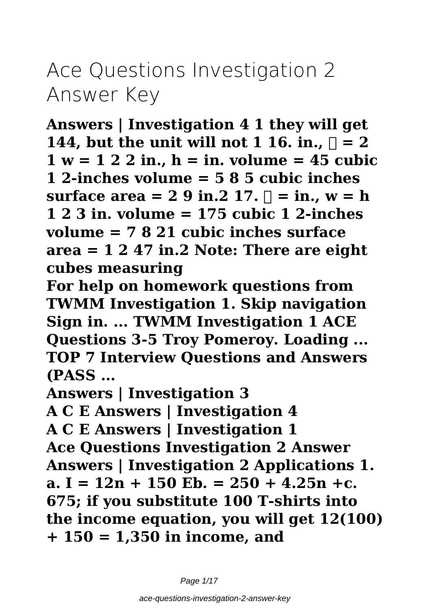# **Ace Questions Investigation 2 Answer Key**

**Answers | Investigation 4 1 they will get 144, but the unit will not 1 16. in.,**  $\Box$  **= 2 1 w = 1 2 2 in., h = in. volume = 45 cubic 1 2-inches volume = 5 8 5 cubic inches surface area = 2 9 in.2 17.**  $\Box$  = in., w = h **1 2 3 in. volume = 175 cubic 1 2-inches volume = 7 8 21 cubic inches surface area = 1 2 47 in.2 Note: There are eight cubes measuring**

**For help on homework questions from TWMM Investigation 1. Skip navigation Sign in. ... TWMM Investigation 1 ACE Questions 3-5 Troy Pomeroy. Loading ... TOP 7 Interview Questions and Answers (PASS ...**

**Answers | Investigation 3**

**A C E Answers | Investigation 4**

**A C E Answers | Investigation 1 Ace Questions Investigation 2 Answer Answers | Investigation 2 Applications 1. a. I = 12n + 150 Eb. = 250 + 4.25n +c. 675; if you substitute 100 T-shirts into the income equation, you will get 12(100) + 150 = 1,350 in income, and**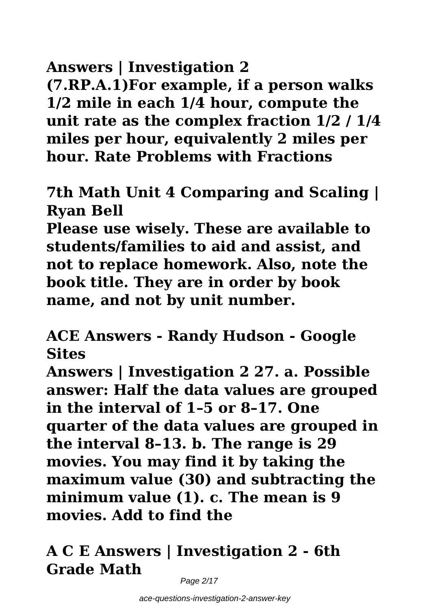**Answers | Investigation 2 (7.RP.A.1)For example, if a person walks 1/2 mile in each 1/4 hour, compute the unit rate as the complex fraction 1/2 / 1/4 miles per hour, equivalently 2 miles per**

**hour. Rate Problems with Fractions**

**7th Math Unit 4 Comparing and Scaling | Ryan Bell**

**Please use wisely. These are available to students/families to aid and assist, and not to replace homework. Also, note the book title. They are in order by book name, and not by unit number.**

**ACE Answers - Randy Hudson - Google Sites**

**Answers | Investigation 2 27. a. Possible answer: Half the data values are grouped in the interval of 1–5 or 8–17. One quarter of the data values are grouped in the interval 8–13. b. The range is 29 movies. You may find it by taking the maximum value (30) and subtracting the minimum value (1). c. The mean is 9 movies. Add to find the**

# **A C E Answers | Investigation 2 - 6th Grade Math**

Page 2/17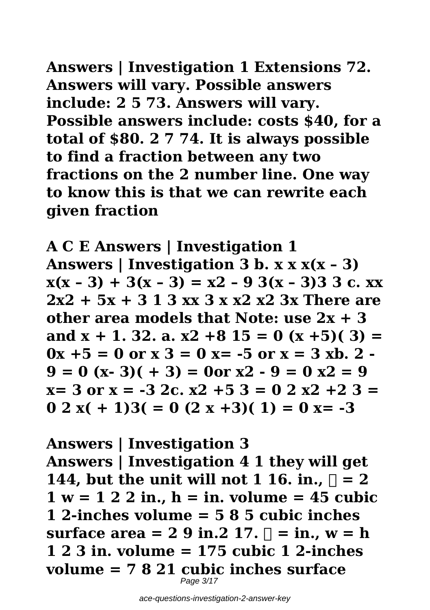**Answers | Investigation 1 Extensions 72. Answers will vary. Possible answers include: 2 5 73. Answers will vary. Possible answers include: costs \$40, for a total of \$80. 2 7 74. It is always possible to find a fraction between any two fractions on the 2 number line. One way to know this is that we can rewrite each given fraction**

**A C E Answers | Investigation 1 Answers | Investigation 3 b. x x x(x – 3)**  $x(x - 3) + 3(x - 3) = x^2 - 93(x - 3)333$ **2x2 + 5x + 3 1 3 xx 3 x x2 x2 3x There are other area models that Note: use 2x + 3 and x + 1. 32. a. x2 +8 15 = 0 (x +5)( 3) =**  $0x + 5 = 0$  or  $x - 3 = 0$   $x = -5$  or  $x = 3$  xb. 2 - $9 = 0$  (x- 3)( + 3) = 0or x2 -  $9 = 0$  x2 = 9 **x= 3 or x = -3 2c. x2 +5 3 = 0 2 x2 +2 3 =**  $0.2 x (+ 1)3( = 0 (2 x + 3)( 1) = 0 x = -3$ 

**Answers | Investigation 3 Answers | Investigation 4 1 they will get 144, but the unit will not 1 16. in.,**  $\Box$  **= 2 1 w = 1 2 2 in., h = in. volume = 45 cubic 1 2-inches volume = 5 8 5 cubic inches surface area = 2 9 in.2 17.**  $\Box$  = **in.**,  $w = h$ **1 2 3 in. volume = 175 cubic 1 2-inches volume = 7 8 21 cubic inches surface** Page 3/17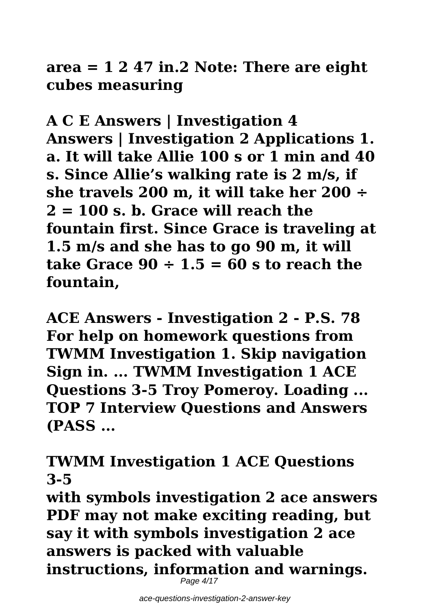**area = 1 2 47 in.2 Note: There are eight cubes measuring**

**A C E Answers | Investigation 4 Answers | Investigation 2 Applications 1. a. It will take Allie 100 s or 1 min and 40 s. Since Allie's walking rate is 2 m/s, if she travels 200 m, it will take her 200 ÷ 2 = 100 s. b. Grace will reach the fountain first. Since Grace is traveling at 1.5 m/s and she has to go 90 m, it will take Grace 90 ÷ 1.5 = 60 s to reach the fountain,**

**ACE Answers - Investigation 2 - P.S. 78 For help on homework questions from TWMM Investigation 1. Skip navigation Sign in. ... TWMM Investigation 1 ACE Questions 3-5 Troy Pomeroy. Loading ... TOP 7 Interview Questions and Answers (PASS ...**

**TWMM Investigation 1 ACE Questions 3-5**

**with symbols investigation 2 ace answers PDF may not make exciting reading, but say it with symbols investigation 2 ace answers is packed with valuable instructions, information and warnings.** Page 4/17

ace-questions-investigation-2-answer-key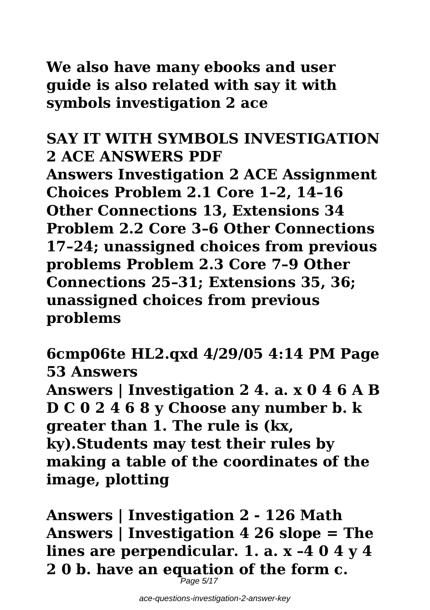**We also have many ebooks and user guide is also related with say it with symbols investigation 2 ace**

# **SAY IT WITH SYMBOLS INVESTIGATION 2 ACE ANSWERS PDF**

**Answers Investigation 2 ACE Assignment Choices Problem 2.1 Core 1–2, 14–16 Other Connections 13, Extensions 34 Problem 2.2 Core 3–6 Other Connections 17–24; unassigned choices from previous problems Problem 2.3 Core 7–9 Other Connections 25–31; Extensions 35, 36; unassigned choices from previous problems**

**6cmp06te HL2.qxd 4/29/05 4:14 PM Page 53 Answers Answers | Investigation 2 4. a. x 0 4 6 A B D C 0 2 4 6 8 y Choose any number b. k greater than 1. The rule is (kx, ky).Students may test their rules by making a table of the coordinates of the image, plotting**

**Answers | Investigation 2 - 126 Math Answers | Investigation 4 26 slope = The lines are perpendicular. 1. a. x –4 0 4 y 4 2 0 b. have an equation of the form c.**

 $P$ age 5/17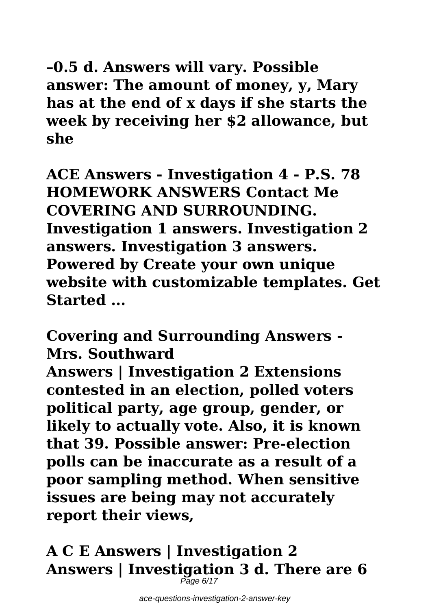**–0.5 d. Answers will vary. Possible answer: The amount of money, y, Mary has at the end of x days if she starts the week by receiving her \$2 allowance, but she**

**ACE Answers - Investigation 4 - P.S. 78 HOMEWORK ANSWERS Contact Me COVERING AND SURROUNDING. Investigation 1 answers. Investigation 2 answers. Investigation 3 answers. Powered by Create your own unique website with customizable templates. Get Started ...**

**Covering and Surrounding Answers - Mrs. Southward**

**Answers | Investigation 2 Extensions contested in an election, polled voters political party, age group, gender, or likely to actually vote. Also, it is known that 39. Possible answer: Pre-election polls can be inaccurate as a result of a poor sampling method. When sensitive issues are being may not accurately report their views,**

**A C E Answers | Investigation 2 Answers | Investigation 3 d. There are 6** Page 6/17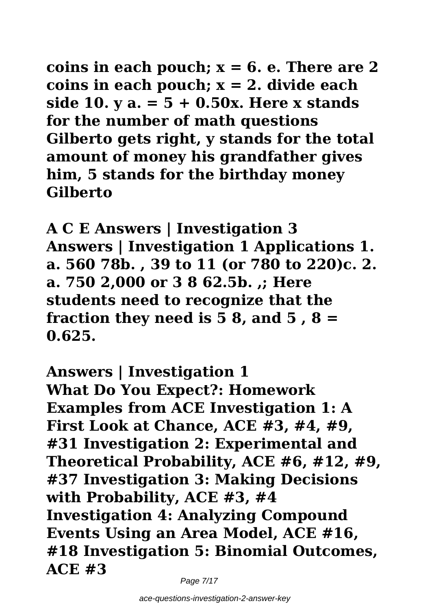**coins in each pouch; x = 6. e. There are 2 coins in each pouch; x = 2. divide each side 10. y a. = 5 + 0.50x. Here x stands for the number of math questions Gilberto gets right, y stands for the total amount of money his grandfather gives him, 5 stands for the birthday money Gilberto**

**A C E Answers | Investigation 3 Answers | Investigation 1 Applications 1. a. 560 78b. , 39 to 11 (or 780 to 220)c. 2. a. 750 2,000 or 3 8 62.5b. ,; Here students need to recognize that the fraction they need is 5 8, and 5 , 8 = 0.625.**

**Answers | Investigation 1 What Do You Expect?: Homework Examples from ACE Investigation 1: A First Look at Chance, ACE #3, #4, #9, #31 Investigation 2: Experimental and Theoretical Probability, ACE #6, #12, #9, #37 Investigation 3: Making Decisions with Probability, ACE #3, #4 Investigation 4: Analyzing Compound Events Using an Area Model, ACE #16, #18 Investigation 5: Binomial Outcomes, ACE #3**

Page 7/17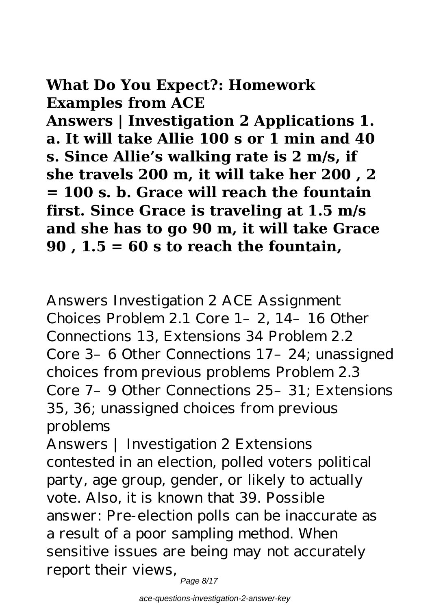# **What Do You Expect?: Homework Examples from ACE**

**Answers | Investigation 2 Applications 1. a. It will take Allie 100 s or 1 min and 40 s. Since Allie's walking rate is 2 m/s, if she travels 200 m, it will take her 200 , 2 = 100 s. b. Grace will reach the fountain first. Since Grace is traveling at 1.5 m/s and she has to go 90 m, it will take Grace 90 , 1.5 = 60 s to reach the fountain,**

Answers Investigation 2 ACE Assignment Choices Problem 2.1 Core 1–2, 14–16 Other Connections 13, Extensions 34 Problem 2.2 Core 3–6 Other Connections 17–24; unassigned choices from previous problems Problem 2.3 Core 7–9 Other Connections 25–31; Extensions 35, 36; unassigned choices from previous problems

Answers | Investigation 2 Extensions contested in an election, polled voters political party, age group, gender, or likely to actually vote. Also, it is known that 39. Possible answer: Pre-election polls can be inaccurate as a result of a poor sampling method. When sensitive issues are being may not accurately report their views,

Page 8/17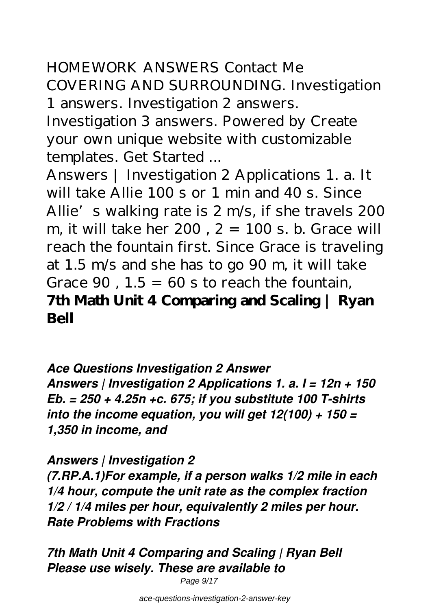HOMEWORK ANSWERS Contact Me COVERING AND SURROUNDING. Investigation 1 answers. Investigation 2 answers.

Investigation 3 answers. Powered by Create your own unique website with customizable templates. Get Started ...

Answers | Investigation 2 Applications 1. a. It will take Allie 100 s or 1 min and 40 s. Since Allie's walking rate is 2 m/s, if she travels 200 m, it will take her  $200$ ,  $2 = 100$  s. b. Grace will reach the fountain first. Since Grace is traveling at 1.5 m/s and she has to go 90 m, it will take Grace  $90$ .  $1.5 = 60$  s to reach the fountain. **7th Math Unit 4 Comparing and Scaling | Ryan Bell**

*Ace Questions Investigation 2 Answer Answers | Investigation 2 Applications 1. a. I = 12n + 150 Eb. = 250 + 4.25n +c. 675; if you substitute 100 T-shirts into the income equation, you will get 12(100) + 150 = 1,350 in income, and*

*Answers | Investigation 2*

*(7.RP.A.1)For example, if a person walks 1/2 mile in each 1/4 hour, compute the unit rate as the complex fraction 1/2 / 1/4 miles per hour, equivalently 2 miles per hour. Rate Problems with Fractions*

*7th Math Unit 4 Comparing and Scaling | Ryan Bell Please use wisely. These are available to*

Page 9/17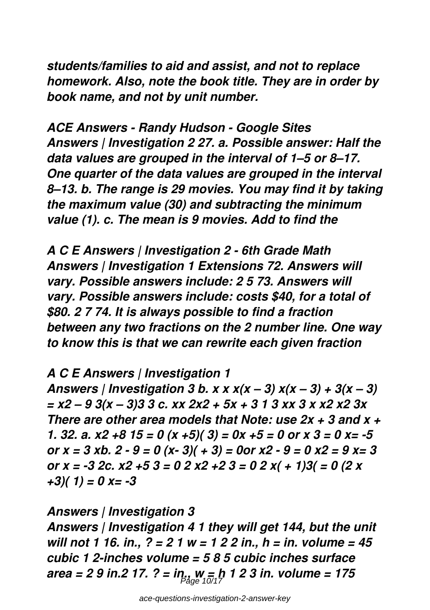*students/families to aid and assist, and not to replace homework. Also, note the book title. They are in order by book name, and not by unit number.*

*ACE Answers - Randy Hudson - Google Sites Answers | Investigation 2 27. a. Possible answer: Half the data values are grouped in the interval of 1–5 or 8–17. One quarter of the data values are grouped in the interval 8–13. b. The range is 29 movies. You may find it by taking the maximum value (30) and subtracting the minimum value (1). c. The mean is 9 movies. Add to find the*

*A C E Answers | Investigation 2 - 6th Grade Math Answers | Investigation 1 Extensions 72. Answers will vary. Possible answers include: 2 5 73. Answers will vary. Possible answers include: costs \$40, for a total of \$80. 2 7 74. It is always possible to find a fraction between any two fractions on the 2 number line. One way to know this is that we can rewrite each given fraction*

## *A C E Answers | Investigation 1*

*Answers | Investigation 3 b. x x x(x – 3) x(x – 3) + 3(x – 3) = x2 – 9 3(x – 3)3 3 c. xx 2x2 + 5x + 3 1 3 xx 3 x x2 x2 3x There are other area models that Note: use 2x + 3 and x + 1. 32. a. x2 +8 15 = 0 (x +5)( 3) = 0x +5 = 0 or x 3 = 0 x= -5 or x = 3 xb. 2 - 9 = 0 (x- 3)( + 3) = 0or x2 - 9 = 0 x2 = 9 x= 3 or x = -3 2c. x2 +5 3 = 0 2 x2 +2 3 = 0 2 x( + 1)3( = 0 (2 x +3)( 1) = 0 x= -3*

*Answers | Investigation 3 Answers | Investigation 4 1 they will get 144, but the unit will not 1 16. in., ? = 2 1 w = 1 2 2 in., h = in. volume = 45 cubic 1 2-inches volume = 5 8 5 cubic inches surface area = 2 9 in.2 17. ? = in., w = h 1 2 3 in. volume = 175* Page 10/17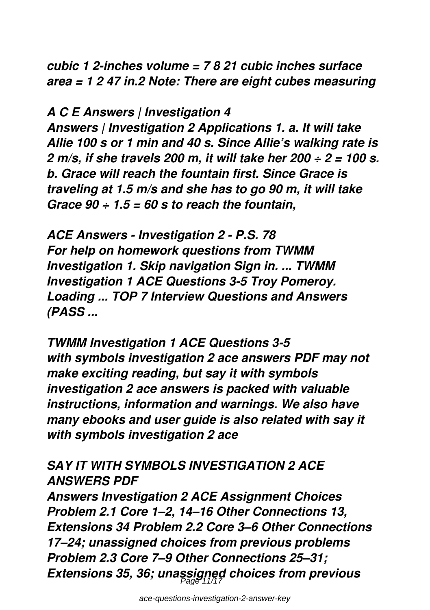*cubic 1 2-inches volume = 7 8 21 cubic inches surface area = 1 2 47 in.2 Note: There are eight cubes measuring*

*A C E Answers | Investigation 4*

*Answers | Investigation 2 Applications 1. a. It will take Allie 100 s or 1 min and 40 s. Since Allie's walking rate is 2 m/s, if she travels 200 m, it will take her 200 ÷ 2 = 100 s. b. Grace will reach the fountain first. Since Grace is traveling at 1.5 m/s and she has to go 90 m, it will take Grace 90 ÷ 1.5 = 60 s to reach the fountain,*

*ACE Answers - Investigation 2 - P.S. 78 For help on homework questions from TWMM Investigation 1. Skip navigation Sign in. ... TWMM Investigation 1 ACE Questions 3-5 Troy Pomeroy. Loading ... TOP 7 Interview Questions and Answers (PASS ...*

*TWMM Investigation 1 ACE Questions 3-5 with symbols investigation 2 ace answers PDF may not make exciting reading, but say it with symbols investigation 2 ace answers is packed with valuable instructions, information and warnings. We also have many ebooks and user guide is also related with say it with symbols investigation 2 ace*

## *SAY IT WITH SYMBOLS INVESTIGATION 2 ACE ANSWERS PDF*

*Answers Investigation 2 ACE Assignment Choices Problem 2.1 Core 1–2, 14–16 Other Connections 13, Extensions 34 Problem 2.2 Core 3–6 Other Connections 17–24; unassigned choices from previous problems Problem 2.3 Core 7–9 Other Connections 25–31; Extensions 35, 36; unassigned choices from previous* Page 11/17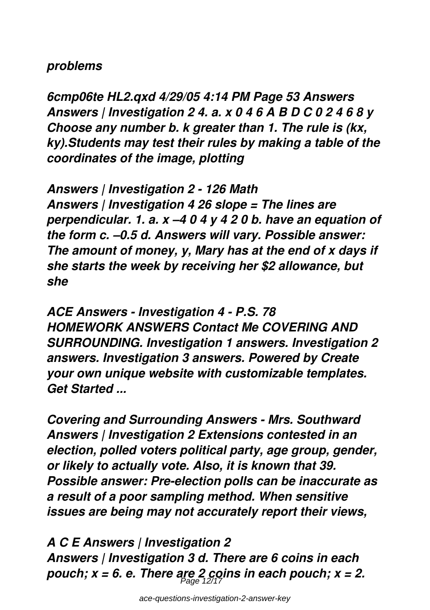#### *problems*

*6cmp06te HL2.qxd 4/29/05 4:14 PM Page 53 Answers Answers | Investigation 2 4. a. x 0 4 6 A B D C 0 2 4 6 8 y Choose any number b. k greater than 1. The rule is (kx, ky).Students may test their rules by making a table of the coordinates of the image, plotting*

*Answers | Investigation 2 - 126 Math Answers | Investigation 4 26 slope = The lines are perpendicular. 1. a. x –4 0 4 y 4 2 0 b. have an equation of the form c. –0.5 d. Answers will vary. Possible answer: The amount of money, y, Mary has at the end of x days if she starts the week by receiving her \$2 allowance, but she*

*ACE Answers - Investigation 4 - P.S. 78 HOMEWORK ANSWERS Contact Me COVERING AND SURROUNDING. Investigation 1 answers. Investigation 2 answers. Investigation 3 answers. Powered by Create your own unique website with customizable templates. Get Started ...*

*Covering and Surrounding Answers - Mrs. Southward Answers | Investigation 2 Extensions contested in an election, polled voters political party, age group, gender, or likely to actually vote. Also, it is known that 39. Possible answer: Pre-election polls can be inaccurate as a result of a poor sampling method. When sensitive issues are being may not accurately report their views,*

*A C E Answers | Investigation 2 Answers | Investigation 3 d. There are 6 coins in each pouch; x = 6. e. There are 2 coins in each pouch; x = 2.* Page 12/17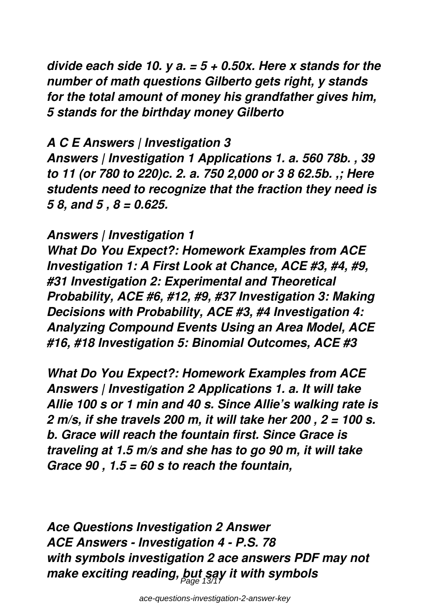*divide each side 10. y a. = 5 + 0.50x. Here x stands for the number of math questions Gilberto gets right, y stands for the total amount of money his grandfather gives him, 5 stands for the birthday money Gilberto*

#### *A C E Answers | Investigation 3*

*Answers | Investigation 1 Applications 1. a. 560 78b. , 39 to 11 (or 780 to 220)c. 2. a. 750 2,000 or 3 8 62.5b. ,; Here students need to recognize that the fraction they need is 5 8, and 5 , 8 = 0.625.*

## *Answers | Investigation 1*

*What Do You Expect?: Homework Examples from ACE Investigation 1: A First Look at Chance, ACE #3, #4, #9, #31 Investigation 2: Experimental and Theoretical Probability, ACE #6, #12, #9, #37 Investigation 3: Making Decisions with Probability, ACE #3, #4 Investigation 4: Analyzing Compound Events Using an Area Model, ACE #16, #18 Investigation 5: Binomial Outcomes, ACE #3*

*What Do You Expect?: Homework Examples from ACE Answers | Investigation 2 Applications 1. a. It will take Allie 100 s or 1 min and 40 s. Since Allie's walking rate is 2 m/s, if she travels 200 m, it will take her 200 , 2 = 100 s. b. Grace will reach the fountain first. Since Grace is traveling at 1.5 m/s and she has to go 90 m, it will take Grace 90 , 1.5 = 60 s to reach the fountain,*

*Ace Questions Investigation 2 Answer ACE Answers - Investigation 4 - P.S. 78 with symbols investigation 2 ace answers PDF may not make exciting reading, but say it with symbols* Page 13/17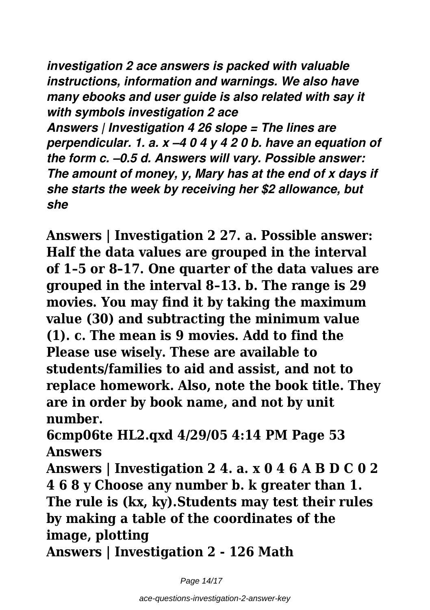*investigation 2 ace answers is packed with valuable instructions, information and warnings. We also have many ebooks and user guide is also related with say it with symbols investigation 2 ace*

*Answers | Investigation 4 26 slope = The lines are perpendicular. 1. a. x –4 0 4 y 4 2 0 b. have an equation of the form c. –0.5 d. Answers will vary. Possible answer: The amount of money, y, Mary has at the end of x days if she starts the week by receiving her \$2 allowance, but she*

**Answers | Investigation 2 27. a. Possible answer: Half the data values are grouped in the interval of 1–5 or 8–17. One quarter of the data values are grouped in the interval 8–13. b. The range is 29 movies. You may find it by taking the maximum value (30) and subtracting the minimum value (1). c. The mean is 9 movies. Add to find the Please use wisely. These are available to students/families to aid and assist, and not to replace homework. Also, note the book title. They are in order by book name, and not by unit number.**

**6cmp06te HL2.qxd 4/29/05 4:14 PM Page 53 Answers**

**Answers | Investigation 2 4. a. x 0 4 6 A B D C 0 2 4 6 8 y Choose any number b. k greater than 1. The rule is (kx, ky).Students may test their rules by making a table of the coordinates of the image, plotting**

**Answers | Investigation 2 - 126 Math**

Page 14/17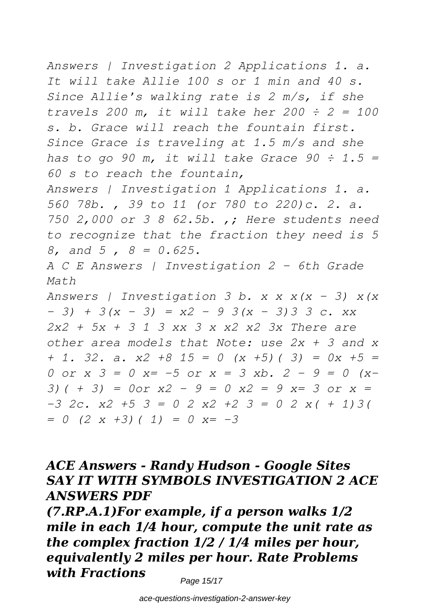*Answers | Investigation 2 Applications 1. a. It will take Allie 100 s or 1 min and 40 s. Since Allie's walking rate is 2 m/s, if she travels 200 m, it will take her 200 ÷ 2 = 100 s. b. Grace will reach the fountain first. Since Grace is traveling at 1.5 m/s and she has to go 90 m, it will take Grace 90 ÷ 1.5 = 60 s to reach the fountain, Answers | Investigation 1 Applications 1. a. 560 78b. , 39 to 11 (or 780 to 220)c. 2. a. 750 2,000 or 3 8 62.5b. ,; Here students need to recognize that the fraction they need is 5 8, and 5 , 8 = 0.625. A C E Answers | Investigation 2 - 6th Grade Math Answers | Investigation 3 b. x x x(x – 3) x(x – 3) + 3(x – 3) = x2 – 9 3(x – 3)3 3 c. xx 2x2 + 5x + 3 1 3 xx 3 x x2 x2 3x There are other area models that Note: use 2x + 3 and x + 1. 32. a. x2 +8 15 = 0 (x +5)( 3) = 0x +5 = 0 or x 3 = 0 x= -5 or x = 3 xb. 2 - 9 = 0 (x-3)( + 3) = 0or x2 - 9 = 0 x2 = 9 x= 3 or x = -3 2c. x2 +5 3 = 0 2 x2 +2 3 = 0 2 x( + 1)3( = 0 (2 x +3)( 1) = 0 x= -3*

## *ACE Answers - Randy Hudson - Google Sites SAY IT WITH SYMBOLS INVESTIGATION 2 ACE ANSWERS PDF*

*(7.RP.A.1)For example, if a person walks 1/2 mile in each 1/4 hour, compute the unit rate as the complex fraction 1/2 / 1/4 miles per hour, equivalently 2 miles per hour. Rate Problems with Fractions*

Page 15/17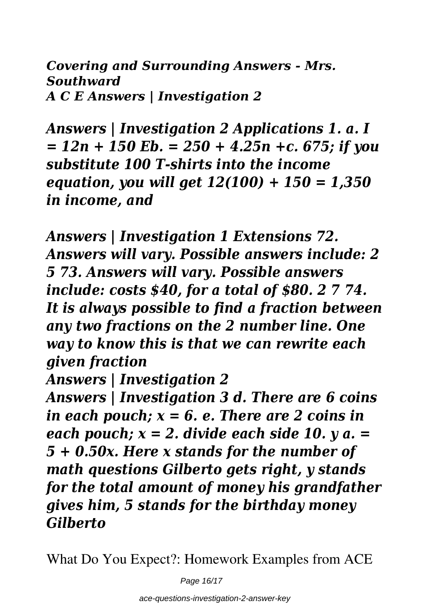*Covering and Surrounding Answers - Mrs. Southward A C E Answers | Investigation 2*

*Answers | Investigation 2 Applications 1. a. I = 12n + 150 Eb. = 250 + 4.25n +c. 675; if you substitute 100 T-shirts into the income equation, you will get 12(100) + 150 = 1,350 in income, and*

*Answers | Investigation 1 Extensions 72. Answers will vary. Possible answers include: 2 5 73. Answers will vary. Possible answers include: costs \$40, for a total of \$80. 2 7 74. It is always possible to find a fraction between any two fractions on the 2 number line. One way to know this is that we can rewrite each given fraction*

*Answers | Investigation 2*

*Answers | Investigation 3 d. There are 6 coins in each pouch; x = 6. e. There are 2 coins in each pouch; x = 2. divide each side 10. y a. = 5 + 0.50x. Here x stands for the number of math questions Gilberto gets right, y stands for the total amount of money his grandfather gives him, 5 stands for the birthday money Gilberto*

What Do You Expect?: Homework Examples from ACE

Page 16/17